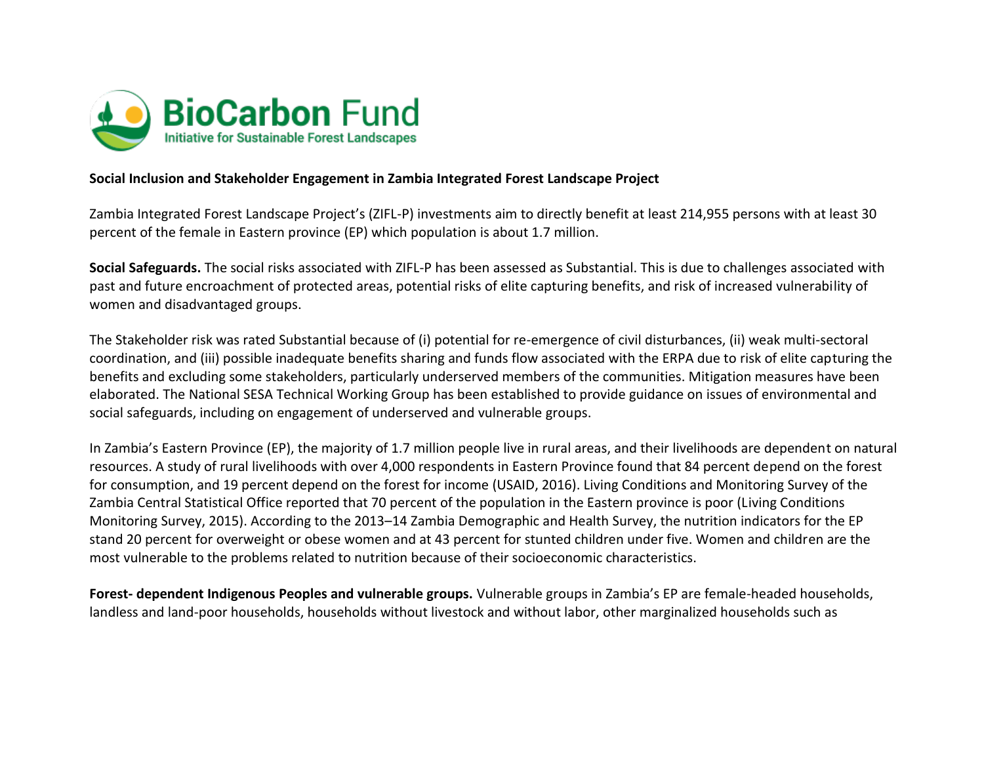

## **Social Inclusion and Stakeholder Engagement in Zambia Integrated Forest Landscape Project**

Zambia Integrated Forest Landscape Project's (ZIFL-P) investments aim to directly benefit at least 214,955 persons with at least 30 percent of the female in Eastern province (EP) which population is about 1.7 million.

**Social Safeguards.** The social risks associated with ZIFL-P has been assessed as Substantial. This is due to challenges associated with past and future encroachment of protected areas, potential risks of elite capturing benefits, and risk of increased vulnerability of women and disadvantaged groups.

The Stakeholder risk was rated Substantial because of (i) potential for re-emergence of civil disturbances, (ii) weak multi-sectoral coordination, and (iii) possible inadequate benefits sharing and funds flow associated with the ERPA due to risk of elite capturing the benefits and excluding some stakeholders, particularly underserved members of the communities. Mitigation measures have been elaborated. The National SESA Technical Working Group has been established to provide guidance on issues of environmental and social safeguards, including on engagement of underserved and vulnerable groups.

In Zambia's Eastern Province (EP), the majority of 1.7 million people live in rural areas, and their livelihoods are dependent on natural resources. A study of rural livelihoods with over 4,000 respondents in Eastern Province found that 84 percent depend on the forest for consumption, and 19 percent depend on the forest for income (USAID, 2016). Living Conditions and Monitoring Survey of the Zambia Central Statistical Office reported that 70 percent of the population in the Eastern province is poor (Living Conditions Monitoring Survey, 2015). According to the 2013–14 Zambia Demographic and Health Survey, the nutrition indicators for the EP stand 20 percent for overweight or obese women and at 43 percent for stunted children under five. Women and children are the most vulnerable to the problems related to nutrition because of their socioeconomic characteristics.

**Forest- dependent Indigenous Peoples and vulnerable groups.** Vulnerable groups in Zambia's EP are female-headed households, landless and land-poor households, households without livestock and without labor, other marginalized households such as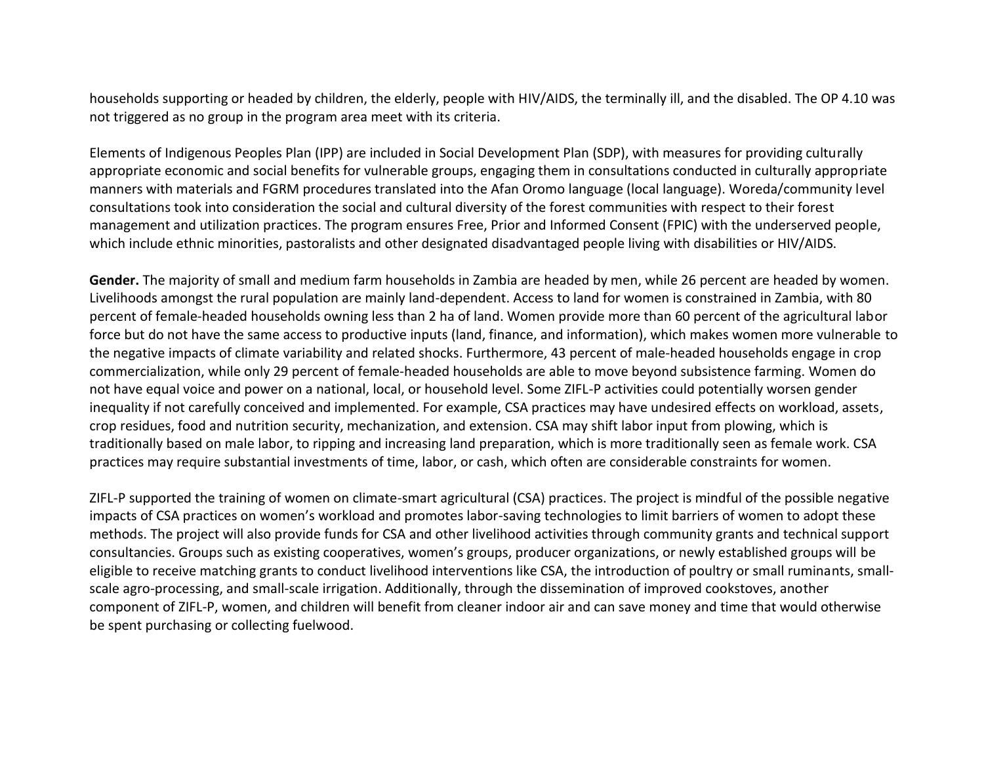households supporting or headed by children, the elderly, people with HIV/AIDS, the terminally ill, and the disabled. The OP 4.10 was not triggered as no group in the program area meet with its criteria.

Elements of Indigenous Peoples Plan (IPP) are included in Social Development Plan (SDP), with measures for providing culturally appropriate economic and social benefits for vulnerable groups, engaging them in consultations conducted in culturally appropriate manners with materials and FGRM procedures translated into the Afan Oromo language (local language). Woreda/community level consultations took into consideration the social and cultural diversity of the forest communities with respect to their forest management and utilization practices. The program ensures Free, Prior and Informed Consent (FPIC) with the underserved people, which include ethnic minorities, pastoralists and other designated disadvantaged people living with disabilities or HIV/AIDS.

**Gender.** The majority of small and medium farm households in Zambia are headed by men, while 26 percent are headed by women. Livelihoods amongst the rural population are mainly land-dependent. Access to land for women is constrained in Zambia, with 80 percent of female-headed households owning less than 2 ha of land. Women provide more than 60 percent of the agricultural labor force but do not have the same access to productive inputs (land, finance, and information), which makes women more vulnerable to the negative impacts of climate variability and related shocks. Furthermore, 43 percent of male‐headed households engage in crop commercialization, while only 29 percent of female‐headed households are able to move beyond subsistence farming. Women do not have equal voice and power on a national, local, or household level. Some ZIFL-P activities could potentially worsen gender inequality if not carefully conceived and implemented. For example, CSA practices may have undesired effects on workload, assets, crop residues, food and nutrition security, mechanization, and extension. CSA may shift labor input from plowing, which is traditionally based on male labor, to ripping and increasing land preparation, which is more traditionally seen as female work. CSA practices may require substantial investments of time, labor, or cash, which often are considerable constraints for women.

ZIFL-P supported the training of women on climate-smart agricultural (CSA) practices. The project is mindful of the possible negative impacts of CSA practices on women's workload and promotes labor-saving technologies to limit barriers of women to adopt these methods. The project will also provide funds for CSA and other livelihood activities through community grants and technical support consultancies. Groups such as existing cooperatives, women's groups, producer organizations, or newly established groups will be eligible to receive matching grants to conduct livelihood interventions like CSA, the introduction of poultry or small ruminants, smallscale agro-processing, and small-scale irrigation. Additionally, through the dissemination of improved cookstoves, another component of ZIFL-P, women, and children will benefit from cleaner indoor air and can save money and time that would otherwise be spent purchasing or collecting fuelwood.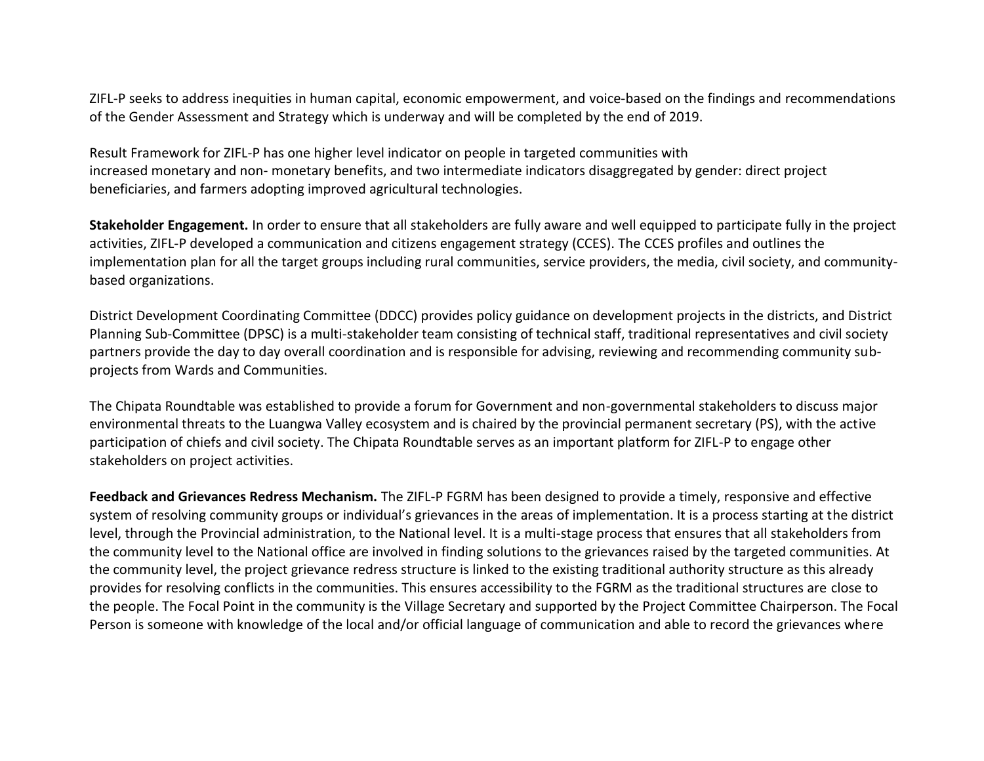ZIFL-P seeks to address inequities in human capital, economic empowerment, and voice-based on the findings and recommendations of the Gender Assessment and Strategy which is underway and will be completed by the end of 2019.

Result Framework for ZIFL-P has one higher level indicator on people in targeted communities with increased monetary and non- monetary benefits, and two intermediate indicators disaggregated by gender: direct project beneficiaries, and farmers adopting improved agricultural technologies.

**Stakeholder Engagement.** In order to ensure that all stakeholders are fully aware and well equipped to participate fully in the project activities, ZIFL-P developed a communication and citizens engagement strategy (CCES). The CCES profiles and outlines the implementation plan for all the target groups including rural communities, service providers, the media, civil society, and communitybased organizations.

District Development Coordinating Committee (DDCC) provides policy guidance on development projects in the districts, and District Planning Sub-Committee (DPSC) is a multi-stakeholder team consisting of technical staff, traditional representatives and civil society partners provide the day to day overall coordination and is responsible for advising, reviewing and recommending community subprojects from Wards and Communities.

The Chipata Roundtable was established to provide a forum for Government and non-governmental stakeholders to discuss major environmental threats to the Luangwa Valley ecosystem and is chaired by the provincial permanent secretary (PS), with the active participation of chiefs and civil society. The Chipata Roundtable serves as an important platform for ZIFL-P to engage other stakeholders on project activities.

**Feedback and Grievances Redress Mechanism.** The ZIFL-P FGRM has been designed to provide a timely, responsive and effective system of resolving community groups or individual's grievances in the areas of implementation. It is a process starting at the district level, through the Provincial administration, to the National level. It is a multi-stage process that ensures that all stakeholders from the community level to the National office are involved in finding solutions to the grievances raised by the targeted communities. At the community level, the project grievance redress structure is linked to the existing traditional authority structure as this already provides for resolving conflicts in the communities. This ensures accessibility to the FGRM as the traditional structures are close to the people. The Focal Point in the community is the Village Secretary and supported by the Project Committee Chairperson. The Focal Person is someone with knowledge of the local and/or official language of communication and able to record the grievances where